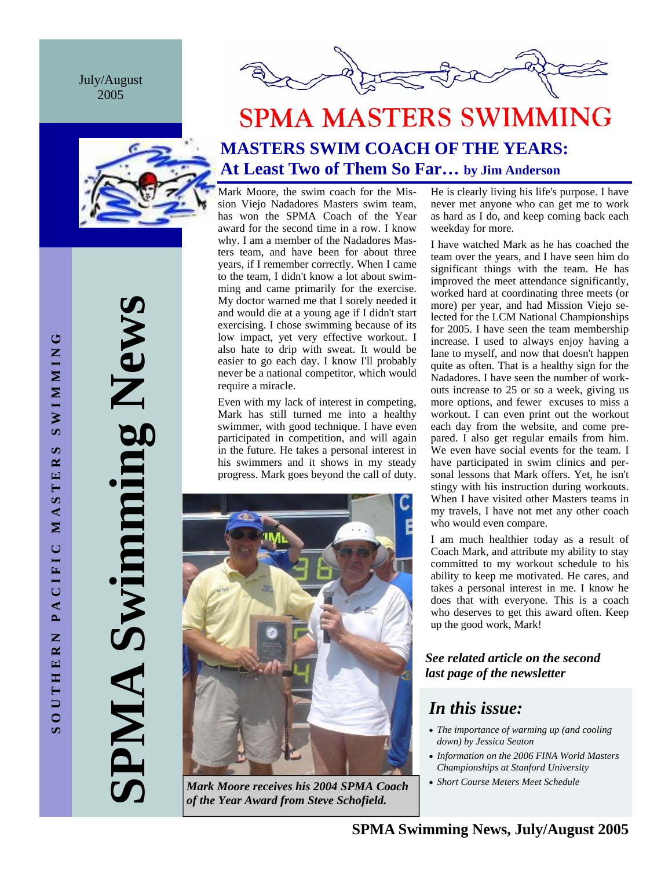July/August 2005





# **SPMA MASTERS SWIMMING MASTERS SWIM COACH OF THE YEARS: At Least Two of Them So Far… by Jim Anderson**

Mark Moore, the swim coach for the Mission Viejo Nadadores Masters swim team, has won the SPMA Coach of the Year award for the second time in a row. I know why. I am a member of the Nadadores Masters team, and have been for about three years, if I remember correctly. When I came to the team, I didn't know a lot about swimming and came primarily for the exercise. My doctor warned me that I sorely needed it and would die at a young age if I didn't start exercising. I chose swimming because of its low impact, yet very effective workout. I also hate to drip with sweat. It would be easier to go each day. I know I'll probably never be a national competitor, which would require a miracle.

Even with my lack of interest in competing, Mark has still turned me into a healthy swimmer, with good technique. I have even participated in competition, and will again in the future. He takes a personal interest in his swimmers and it shows in my steady progress. Mark goes beyond the call of duty.



*Mark Moore receives his 2004 SPMA Coach* • *Short Course Meters Meet Schedule of the Year Award from Steve Schofield.* 

He is clearly living his life's purpose. I have never met anyone who can get me to work as hard as I do, and keep coming back each weekday for more.

I have watched Mark as he has coached the team over the years, and I have seen him do significant things with the team. He has improved the meet attendance significantly, worked hard at coordinating three meets (or more) per year, and had Mission Viejo selected for the LCM National Championships for 2005. I have seen the team membership increase. I used to always enjoy having a lane to myself, and now that doesn't happen quite as often. That is a healthy sign for the Nadadores. I have seen the number of workouts increase to 25 or so a week, giving us more options, and fewer excuses to miss a workout. I can even print out the workout each day from the website, and come prepared. I also get regular emails from him. We even have social events for the team. I have participated in swim clinics and personal lessons that Mark offers. Yet, he isn't stingy with his instruction during workouts. When I have visited other Masters teams in my travels, I have not met any other coach who would even compare.

I am much healthier today as a result of Coach Mark, and attribute my ability to stay committed to my workout schedule to his ability to keep me motivated. He cares, and takes a personal interest in me. I know he does that with everyone. This is a coach who deserves to get this award often. Keep up the good work, Mark!

#### *See related article on the second last page of the newsletter*

### *In this issue:*

- *The importance of warming up (and cooling down) by Jessica Seaton*
- *Information on the 2006 FINA World Masters Championships at Stanford University*
-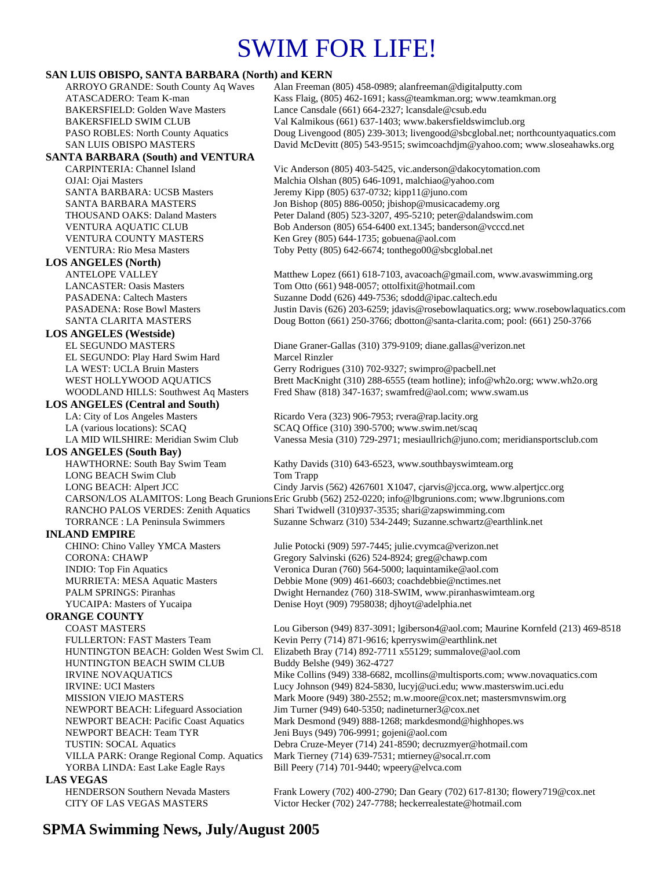# SWIM FOR LIFE!

# **SAN LUIS OBISPO, SANTA BARBARA (North) and KERN**<br>ARROYO GRANDE: South County Aq Waves Alan Freeman

Alan Freeman (805) 458-0989; alan freeman @digitalputty.com ATASCADERO: Team K-man Kass Flaig, (805) 462-1691; kass@teamkman.org; www.teamkman.org BAKERSFIELD: Golden Wave Masters Lance Cansdale (661) 664-2327; lcansdale@csub.edu BAKERSFIELD SWIM CLUB Val Kalmikous (661) 637-1403; www.bakersfieldswimclub.org PASO ROBLES: North County Aquatics Doug Livengood (805) 239-3013; livengood@sbcglobal.net; northcountyaquatics.com SAN LUIS OBISPO MASTERS David McDevitt (805) 543-9515; swimcoachdjm@yahoo.com; www.sloseahawks.org **SANTA BARBARA (South) and VENTURA**  CARPINTERIA: Channel Island Vic Anderson (805) 403-5425, vic.anderson@dakocytomation.com OJAI: Ojai Masters Malchia Olshan (805) 646-1091, malchiao@yahoo.com SANTA BARBARA: UCSB Masters Jeremy Kipp (805) 637-0732; kipp11@juno.com SANTA BARBARA MASTERS Jon Bishop (805) 886-0050; jbishop@musicacademy.org THOUSAND OAKS: Daland Masters Peter Daland (805) 523-3207, 495-5210; peter@dalandswim.com VENTURA AQUATIC CLUB Bob Anderson (805) 654-6400 ext.1345; banderson@vcccd.net VENTURA COUNTY MASTERS Ken Grey (805) 644-1735; gobuena@aol.com VENTURA: Rio Mesa Masters Toby Petty (805) 642-6674; tonthego00@sbcglobal.net **LOS ANGELES (North)**  ANTELOPE VALLEY Matthew Lopez (661) 618-7103, avacoach@gmail.com, www.avaswimming.org LANCASTER: Oasis Masters Tom Otto (661) 948-0057; ottolfixit@hotmail.com PASADENA: Caltech Masters Suzanne Dodd (626) 449-7536; sdodd@ipac.caltech.edu PASADENA: Rose Bowl Masters Justin Davis (626) 203-6259; jdavis@rosebowlaquatics.org; www.rosebowlaquatics.com SANTA CLARITA MASTERS Doug Botton (661) 250-3766; dbotton@santa-clarita.com; pool: (661) 250-3766 **LOS ANGELES (Westside)** EL SEGUNDO MASTERS Diane Graner-Gallas (310) 379-9109; diane.gallas@verizon.net EL SEGUNDO: Play Hard Swim Hard Marcel Rinzler LA WEST: UCLA Bruin Masters Gerry Rodrigues (310) 702-9327; swimpro@pacbell.net WEST HOLLYWOOD AQUATICS Brett MacKnight (310) 288-6555 (team hotline); info@wh2o.org; www.wh2o.org WOODLAND HILLS: Southwest Aq Masters Fred Shaw (818) 347-1637; swamfred@aol.com; www.swam.us **LOS ANGELES (Central and South)**  LA: City of Los Angeles Masters Ricardo Vera (323) 906-7953; rvera@rap.lacity.org LA (various locations): SCAQ SCAQ Office (310) 390-5700; www.swim.net/scaq LA MID WILSHIRE: Meridian Swim Club Vanessa Mesia (310) 729-2971; mesiaullrich@juno.com; meridiansportsclub.com **LOS ANGELES (South Bay)**  HAWTHORNE: South Bay Swim Team Kathy Davids (310) 643-6523, www.southbayswimteam.org LONG BEACH Swim Club Tom Trapp LONG BEACH: Alpert JCC Cindy Jarvis (562) 4267601 X1047, cjarvis@jcca.org, www.alpertjcc.org CARSON/LOS ALAMITOS: Long Beach Grunions Eric Grubb (562) 252-0220; info@lbgrunions.com; www.lbgrunions.com RANCHO PALOS VERDES: Zenith Aquatics Shari Twidwell (310)937-3535; shari@zapswimming.com TORRANCE : LA Peninsula Swimmers Suzanne Schwarz (310) 534-2449; Suzanne.schwartz@earthlink.net **INLAND EMPIRE**  CHINO: Chino Valley YMCA Masters Julie Potocki (909) 597-7445; julie.cvymca@verizon.net CORONA: CHAWP Gregory Salvinski (626) 524-8924; greg@chawp.com INDIO: Top Fin Aquatics Veronica Duran (760) 564-5000; laquintamike@aol.com MURRIETA: MESA Aquatic Masters Debbie Mone (909) 461-6603; coachdebbie@nctimes.net PALM SPRINGS: Piranhas Dwight Hernandez (760) 318-SWIM, www.piranhaswimteam.org YUCAIPA: Masters of Yucaipa Denise Hoyt (909) 7958038; djhoyt@adelphia.net **ORANGE COUNTY**  COAST MASTERS Lou Giberson (949) 837-3091; lgiberson4@aol.com; Maurine Kornfeld (213) 469-8518 FULLERTON: FAST Masters Team Kevin Perry (714) 871-9616; kperryswim@earthlink.net HUNTINGTON BEACH: Golden West Swim Cl. Elizabeth Bray (714) 892-7711 x55129; summalove@aol.com HUNTINGTON BEACH SWIM CLUB Buddy Belshe (949) 362-4727 IRVINE NOVAQUATICS Mike Collins (949) 338-6682, mcollins@multisports.com; www.novaquatics.com IRVINE: UCI Masters Lucy Johnson (949) 824-5830, lucyj@uci.edu; www.masterswim.uci.edu MISSION VIEJO MASTERS Mark Moore (949) 380-2552; m.w.moore @cox.net; mastersmvnswim.org NEWPORT BEACH: Lifeguard Association Jim Turner (949) 640-5350; nadineturner3@cox.net NEWPORT BEACH: Pacific Coast Aquatics Mark Desmond (949) 888-1268; markdesmond@highhopes.ws NEWPORT BEACH: Team TYR Jeni Buys (949) 706-9991; gojeni@aol.com TUSTIN: SOCAL Aquatics Debra Cruze-Meyer (714) 241-8590; decruzmyer@hotmail.com VILLA PARK: Orange Regional Comp. Aquatics Mark Tierney (714) 639-7531; mtierney@socal.rr.com YORBA LINDA: East Lake Eagle Rays Bill Peery (714) 701-9440; wpeery@elvca.com **LAS VEGAS**<br> **HENDERSON Southern Nevada Masters** 

Frank Lowery (702) 400-2790; Dan Geary (702) 617-8130; flowery 719@cox.net CITY OF LAS VEGAS MASTERS Victor Hecker (702) 247-7788; heckerrealestate@hotmail.com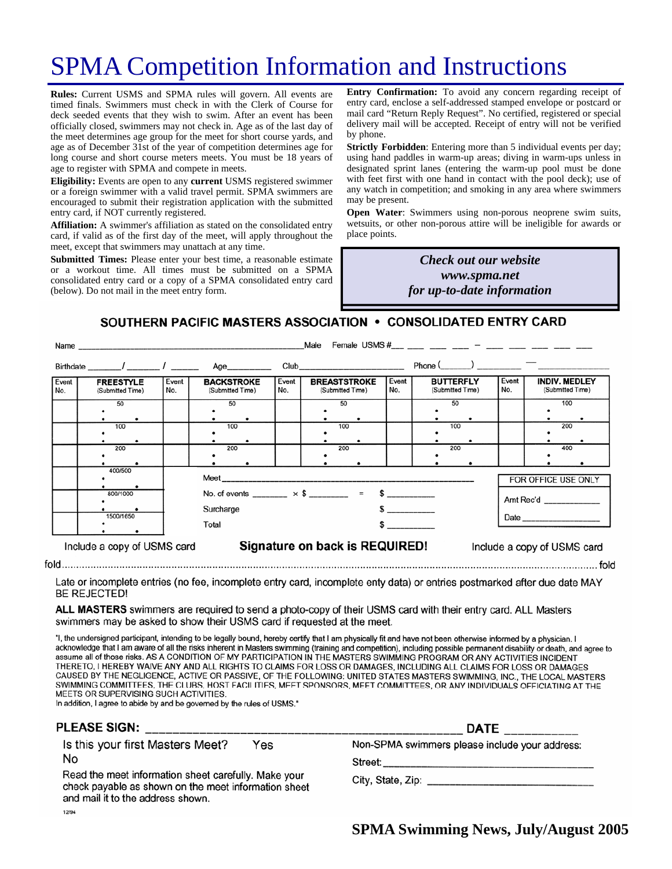# SPMA Competition Information and Instructions

**Rules:** Current USMS and SPMA rules will govern. All events are timed finals. Swimmers must check in with the Clerk of Course for deck seeded events that they wish to swim. After an event has been officially closed, swimmers may not check in. Age as of the last day of the meet determines age group for the meet for short course yards, and age as of December 31st of the year of competition determines age for long course and short course meters meets. You must be 18 years of age to register with SPMA and compete in meets.

**Eligibility:** Events are open to any **current** USMS registered swimmer or a foreign swimmer with a valid travel permit. SPMA swimmers are encouraged to submit their registration application with the submitted entry card, if NOT currently registered.

**Affiliation:** A swimmer's affiliation as stated on the consolidated entry card, if valid as of the first day of the meet, will apply throughout the meet, except that swimmers may unattach at any time.

**Submitted Times:** Please enter your best time, a reasonable estimate or a workout time. All times must be submitted on a SPMA consolidated entry card or a copy of a SPMA consolidated entry card (below). Do not mail in the meet entry form.

**Entry Confirmation:** To avoid any concern regarding receipt of entry card, enclose a self-addressed stamped envelope or postcard or mail card "Return Reply Request". No certified, registered or special delivery mail will be accepted. Receipt of entry will not be verified by phone.

**Strictly Forbidden**: Entering more than 5 individual events per day; using hand paddles in warm-up areas; diving in warm-ups unless in designated sprint lanes (entering the warm-up pool must be done with feet first with one hand in contact with the pool deck); use of any watch in competition; and smoking in any area where swimmers may be present.

**Open Water**: Swimmers using non-porous neoprene swim suits, wetsuits, or other non-porous attire will be ineligible for awards or place points.

#### *Many the Check out our website Check out our website hosting the March Committee meeting and www.spma.net providing dinner! for up-to-date information*

#### SOUTHERN PACIFIC MASTERS ASSOCIATION . CONSOLIDATED ENTRY CARD

|              | Female USMS #___ ___ ___ ___ __ __ __ ___ ___ ____ ___ ___ ___<br>Male<br>Name and the contract of the contract of the contract of the contract of the contract of the contract of the contract of the contract of the contract of the contract of the contract of the contract of the contract of the c |              |                                                         |                                                               |                                                                                                                                                                                                                                |                                                                                                                                                                                                                                                                                               |                                      |              |                                          |
|--------------|----------------------------------------------------------------------------------------------------------------------------------------------------------------------------------------------------------------------------------------------------------------------------------------------------------|--------------|---------------------------------------------------------|---------------------------------------------------------------|--------------------------------------------------------------------------------------------------------------------------------------------------------------------------------------------------------------------------------|-----------------------------------------------------------------------------------------------------------------------------------------------------------------------------------------------------------------------------------------------------------------------------------------------|--------------------------------------|--------------|------------------------------------------|
|              | Birthdate / /                                                                                                                                                                                                                                                                                            |              | Age__________                                           |                                                               | Club and the contract of the contract of the contract of the contract of the contract of the contract of the contract of the contract of the contract of the contract of the contract of the contract of the contract of the c |                                                                                                                                                                                                                                                                                               | $Phone($ $)$ $)$ $)$                 |              |                                          |
| Event<br>No. | <b>FREESTYLE</b><br>(Submitted Time)                                                                                                                                                                                                                                                                     | Event<br>No. | <b>BACKSTROKE</b><br>(Submitted Time)                   | Event<br>No.                                                  | <b>BREASTSTROKE</b><br>(Submitted Time)                                                                                                                                                                                        | Event<br>No.                                                                                                                                                                                                                                                                                  | <b>BUTTERFLY</b><br>(Submitted Time) | Event<br>No. | <b>INDIV. MEDLEY</b><br>(Submitted Time) |
|              | 50                                                                                                                                                                                                                                                                                                       |              | 50                                                      |                                                               | 50                                                                                                                                                                                                                             |                                                                                                                                                                                                                                                                                               | 50                                   |              | 100                                      |
|              |                                                                                                                                                                                                                                                                                                          |              |                                                         |                                                               |                                                                                                                                                                                                                                |                                                                                                                                                                                                                                                                                               |                                      |              |                                          |
|              | 100                                                                                                                                                                                                                                                                                                      |              | 100                                                     |                                                               | 100                                                                                                                                                                                                                            |                                                                                                                                                                                                                                                                                               | 100                                  |              | 200                                      |
|              |                                                                                                                                                                                                                                                                                                          |              |                                                         |                                                               |                                                                                                                                                                                                                                |                                                                                                                                                                                                                                                                                               |                                      |              |                                          |
|              | 200                                                                                                                                                                                                                                                                                                      |              | 200                                                     |                                                               | 200                                                                                                                                                                                                                            |                                                                                                                                                                                                                                                                                               | 200                                  |              | 400                                      |
|              |                                                                                                                                                                                                                                                                                                          |              |                                                         |                                                               |                                                                                                                                                                                                                                |                                                                                                                                                                                                                                                                                               |                                      |              |                                          |
|              | 400/500                                                                                                                                                                                                                                                                                                  |              |                                                         |                                                               |                                                                                                                                                                                                                                |                                                                                                                                                                                                                                                                                               |                                      |              | FOR OFFICE USE ONLY                      |
|              | 800/1000                                                                                                                                                                                                                                                                                                 |              | No. of events _______ $\times$ \$ _______ = \$ ________ |                                                               |                                                                                                                                                                                                                                |                                                                                                                                                                                                                                                                                               |                                      |              |                                          |
|              |                                                                                                                                                                                                                                                                                                          | Surcharge    |                                                         |                                                               |                                                                                                                                                                                                                                |                                                                                                                                                                                                                                                                                               |                                      |              |                                          |
|              | 1500/1650                                                                                                                                                                                                                                                                                                |              | Total                                                   |                                                               |                                                                                                                                                                                                                                | $\sim$ 5 $\sim$ 5 $\sim$ 5 $\sim$ 5 $\sim$ 5 $\sim$ 5 $\sim$ 5 $\sim$ 5 $\sim$ 5 $\sim$ 5 $\sim$ 5 $\sim$ 5 $\sim$ 5 $\sim$ 5 $\sim$ 5 $\sim$ 5 $\sim$ 5 $\sim$ 5 $\sim$ 5 $\sim$ 5 $\sim$ 5 $\sim$ 5 $\sim$ 5 $\sim$ 5 $\sim$ 5 $\sim$ 5 $\sim$ 5 $\sim$ 5 $\sim$ 5 $\sim$ 5 $\sim$ 5 $\sim$ |                                      |              |                                          |
|              | Include a copy of USMS card                                                                                                                                                                                                                                                                              |              |                                                         | Signature on back is REQUIRED!<br>Include a copy of USMS card |                                                                                                                                                                                                                                |                                                                                                                                                                                                                                                                                               |                                      |              |                                          |

Late or incomplete entries (no fee, incomplete entry card, incomplete enty data) or entries postmarked after due date MAY **BE REJECTED!** 

ALL MASTERS swimmers are required to send a photo-copy of their USMS card with their entry card. ALL Masters swimmers may be asked to show their USMS card if requested at the meet.

"I, the undersigned participant, intending to be legally bound, hereby certify that I am physically fit and have not been otherwise informed by a physician. I acknowledge that I am aware of all the risks inherent in Masters swimming (training and competition), including possible permanent disability or death, and agree to assume all of those risks. AS A CONDITION OF MY PARTICIPATION IN THE MASTERS SWIMMING PROGRAM OR ANY ACTIVITIES INCIDENT THERETO, I HEREBY WAIVE ANY AND ALL RIGHTS TO CLAIMS FOR LOSS OR DAMAGES, INCLUDING ALL CLAIMS FOR LOSS OR DAMAGES CAUSED BY THE NEGLIGENCE, ACTIVE OR PASSIVE, OF THE FOLLOWING: UNITED STATES MASTERS SWIMMING, INC., THE LOCAL MASTERS SWIMMING COMMITTEES, THE CLUBS, HOST FACILITIES, MEET SPONSORS, MEET COMMITTEES, OR ANY INDIVIDUALS OFFICIATING AT THE MEETS OR SUPERVISING SUCH ACTIVITIES.

In addition, I agree to abide by and be governed by the rules of USMS."

| Is this your first Masters Meet?<br>Yes<br>No                                                                                                              | PLEASE SIGN: | <b>DATE</b>                                    |
|------------------------------------------------------------------------------------------------------------------------------------------------------------|--------------|------------------------------------------------|
| Read the meet information sheet carefully. Make your<br>check payable as shown on the meet information sheet<br>and mail it to the address shown.<br>12/94 |              | Non-SPMA swimmers please include your address: |

**SPMA Swimming News, July/August 2005** 

 $f \circ f$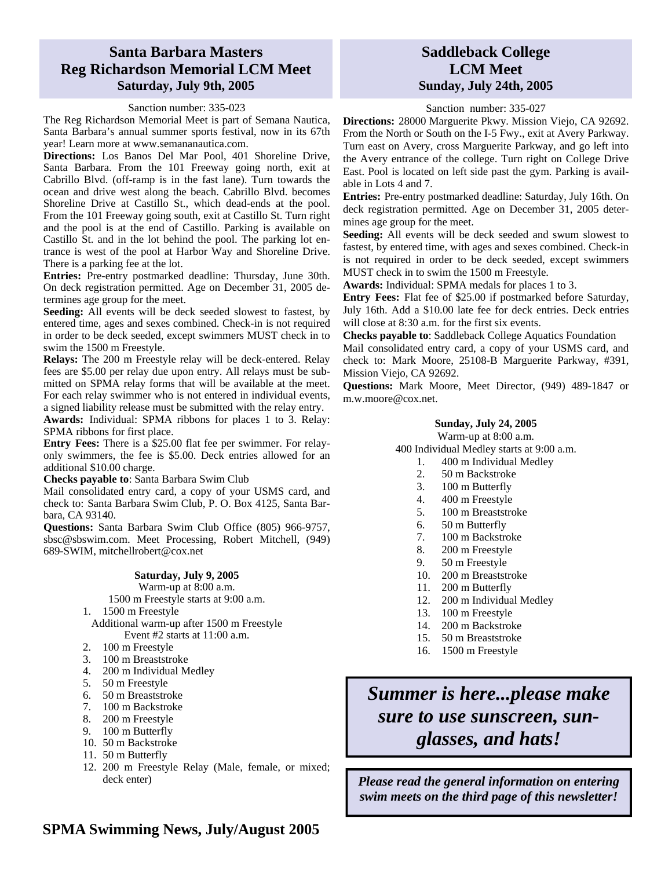#### **Santa Barbara Masters Reg Richardson Memorial LCM Meet Saturday, July 9th, 2005**

#### Sanction number: 335-023

The Reg Richardson Memorial Meet is part of Semana Nautica, Santa Barbara's annual summer sports festival, now in its 67th year! Learn more at www.semananautica.com.

**Directions:** Los Banos Del Mar Pool, 401 Shoreline Drive, Santa Barbara. From the 101 Freeway going north, exit at Cabrillo Blvd. (off-ramp is in the fast lane). Turn towards the ocean and drive west along the beach. Cabrillo Blvd. becomes Shoreline Drive at Castillo St., which dead-ends at the pool. From the 101 Freeway going south, exit at Castillo St. Turn right and the pool is at the end of Castillo. Parking is available on Castillo St. and in the lot behind the pool. The parking lot entrance is west of the pool at Harbor Way and Shoreline Drive. There is a parking fee at the lot.

**Entries:** Pre-entry postmarked deadline: Thursday, June 30th. On deck registration permitted. Age on December 31, 2005 determines age group for the meet.

**Seeding:** All events will be deck seeded slowest to fastest, by entered time, ages and sexes combined. Check-in is not required in order to be deck seeded, except swimmers MUST check in to swim the 1500 m Freestyle.

**Relays:** The 200 m Freestyle relay will be deck-entered. Relay fees are \$5.00 per relay due upon entry. All relays must be submitted on SPMA relay forms that will be available at the meet. For each relay swimmer who is not entered in individual events, a signed liability release must be submitted with the relay entry.

**Awards:** Individual: SPMA ribbons for places 1 to 3. Relay: SPMA ribbons for first place.

**Entry Fees:** There is a \$25.00 flat fee per swimmer. For relayonly swimmers, the fee is \$5.00. Deck entries allowed for an additional \$10.00 charge.

**Checks payable to**: Santa Barbara Swim Club

Mail consolidated entry card, a copy of your USMS card, and check to: Santa Barbara Swim Club, P. O. Box 4125, Santa Barbara, CA 93140.

**Questions:** Santa Barbara Swim Club Office (805) 966-9757, sbsc@sbswim.com. Meet Processing, Robert Mitchell, (949) 689-SWIM, mitchellrobert@cox.net

#### **Saturday, July 9, 2005**

Warm-up at 8:00 a.m.

1500 m Freestyle starts at 9:00 a.m.

1. 1500 m Freestyle

Additional warm-up after 1500 m Freestyle Event #2 starts at 11:00 a.m.

- 2. 100 m Freestyle
- 3. 100 m Breaststroke
- 4. 200 m Individual Medley
- 5. 50 m Freestyle
- 6. 50 m Breaststroke
- 7. 100 m Backstroke
- 8. 200 m Freestyle
- 9. 100 m Butterfly
- 10. 50 m Backstroke
- 11. 50 m Butterfly
- 12. 200 m Freestyle Relay (Male, female, or mixed; deck enter)

#### **Saddleback College LCM Meet Sunday, July 24th, 2005**

Sanction number: 335-027

**Directions:** 28000 Marguerite Pkwy. Mission Viejo, CA 92692. From the North or South on the I-5 Fwy., exit at Avery Parkway. Turn east on Avery, cross Marguerite Parkway, and go left into the Avery entrance of the college. Turn right on College Drive East. Pool is located on left side past the gym. Parking is available in Lots 4 and 7.

**Entries:** Pre-entry postmarked deadline: Saturday, July 16th. On deck registration permitted. Age on December 31, 2005 determines age group for the meet.

**Seeding:** All events will be deck seeded and swum slowest to fastest, by entered time, with ages and sexes combined. Check-in is not required in order to be deck seeded, except swimmers MUST check in to swim the 1500 m Freestyle.

**Awards:** Individual: SPMA medals for places 1 to 3.

**Entry Fees:** Flat fee of \$25.00 if postmarked before Saturday, July 16th. Add a \$10.00 late fee for deck entries. Deck entries will close at 8:30 a.m. for the first six events.

**Checks payable to**: Saddleback College Aquatics Foundation Mail consolidated entry card, a copy of your USMS card, and check to: Mark Moore, 25108-B Marguerite Parkway, #391, Mission Viejo, CA 92692.

**Questions:** Mark Moore, Meet Director, (949) 489-1847 or m.w.moore@cox.net.

#### **Sunday, July 24, 2005**

Warm-up at 8:00 a.m.

400 Individual Medley starts at 9:00 a.m.

- 1. 400 m Individual Medley
- 2. 50 m Backstroke
- 3. 100 m Butterfly
- 4. 400 m Freestyle
- 5. 100 m Breaststroke
- 6. 50 m Butterfly
- 7. 100 m Backstroke
- 8. 200 m Freestyle
- 9. 50 m Freestyle
- 10. 200 m Breaststroke
- 11. 200 m Butterfly
- 12. 200 m Individual Medley
- 13. 100 m Freestyle
- 14. 200 m Backstroke
- 15. 50 m Breaststroke
- 16. 1500 m Freestyle

*Summer is here...please make sure to use sunscreen, sunglasses, and hats!* 

*Please read the general information on entering swim meets on the third page of this newsletter!*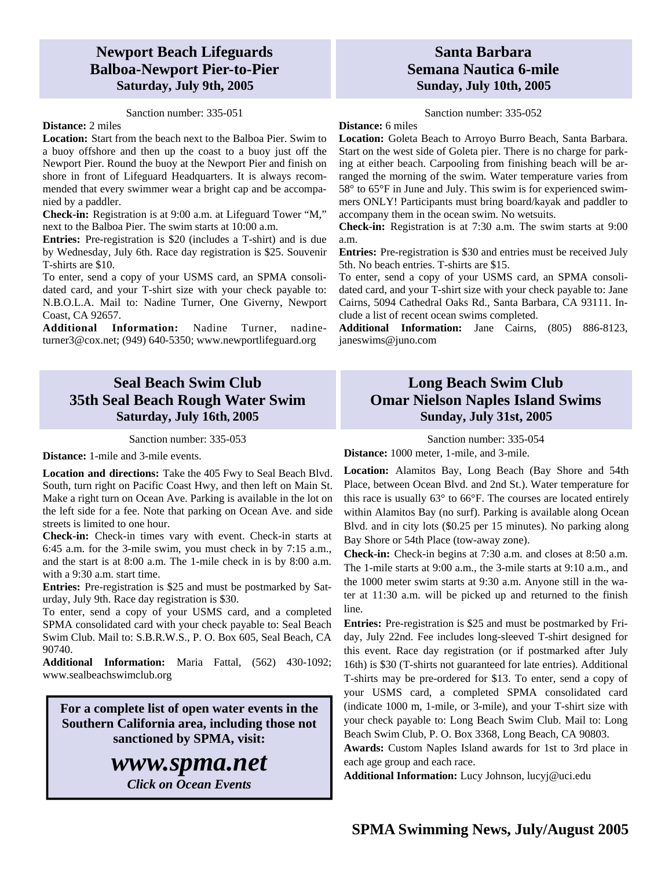#### **Newport Beach Lifeguards Balboa-Newport Pier-to-Pier Saturday, July 9th, 2005**

Sanction number: 335-051

#### **Distance:** 2 miles

**Location:** Start from the beach next to the Balboa Pier. Swim to a buoy offshore and then up the coast to a buoy just off the Newport Pier. Round the buoy at the Newport Pier and finish on shore in front of Lifeguard Headquarters. It is always recommended that every swimmer wear a bright cap and be accompanied by a paddler.

**Check-in:** Registration is at 9:00 a.m. at Lifeguard Tower "M," next to the Balboa Pier. The swim starts at 10:00 a.m.

**Entries:** Pre-registration is \$20 (includes a T-shirt) and is due by Wednesday, July 6th. Race day registration is \$25. Souvenir T-shirts are \$10.

To enter, send a copy of your USMS card, an SPMA consolidated card, and your T-shirt size with your check payable to: N.B.O.L.A. Mail to: Nadine Turner, One Giverny, Newport Coast, CA 92657.

**Additional Information:** Nadine Turner, nadineturner3@cox.net; (949) 640-5350; www.newportlifeguard.org

### **Seal Beach Swim Club 35th Seal Beach Rough Water Swim Saturday, July 16th, 2005**

Sanction number: 335-053

**Distance:** 1-mile and 3-mile events.

**Location and directions:** Take the 405 Fwy to Seal Beach Blvd. South, turn right on Pacific Coast Hwy, and then left on Main St. Make a right turn on Ocean Ave. Parking is available in the lot on the left side for a fee. Note that parking on Ocean Ave. and side streets is limited to one hour.

**Check-in:** Check-in times vary with event. Check-in starts at 6:45 a.m. for the 3-mile swim, you must check in by 7:15 a.m., and the start is at 8:00 a.m. The 1-mile check in is by 8:00 a.m. with a 9:30 a.m. start time.

**Entries:** Pre-registration is \$25 and must be postmarked by Saturday, July 9th. Race day registration is \$30.

To enter, send a copy of your USMS card, and a completed SPMA consolidated card with your check payable to: Seal Beach Swim Club. Mail to: S.B.R.W.S., P. O. Box 605, Seal Beach, CA 90740.

**Additional Information:** Maria Fattal, (562) 430-1092; www.sealbeachswimclub.org

**For a complete list of open water events in the Southern California area, including those not sanctioned by SPMA, visit:** 

## *www.spma.net*

*Click on Ocean Events* 

#### **Santa Barbara Semana Nautica 6-mile Sunday, July 10th, 2005**

Sanction number: 335-052

**Distance:** 6 miles

**Location:** Goleta Beach to Arroyo Burro Beach, Santa Barbara. Start on the west side of Goleta pier. There is no charge for parking at either beach. Carpooling from finishing beach will be arranged the morning of the swim. Water temperature varies from 58° to 65°F in June and July. This swim is for experienced swimmers ONLY! Participants must bring board/kayak and paddler to accompany them in the ocean swim. No wetsuits.

**Check-in:** Registration is at 7:30 a.m. The swim starts at 9:00 a.m.

**Entries:** Pre-registration is \$30 and entries must be received July 5th. No beach entries. T-shirts are \$15.

To enter, send a copy of your USMS card, an SPMA consolidated card, and your T-shirt size with your check payable to: Jane Cairns, 5094 Cathedral Oaks Rd., Santa Barbara, CA 93111. Include a list of recent ocean swims completed.

**Additional Information:** Jane Cairns, (805) 886-8123, janeswims@juno.com

### **Long Beach Swim Club Omar Nielson Naples Island Swims Sunday, July 31st, 2005**

Sanction number: 335-054

**Distance:** 1000 meter, 1-mile, and 3-mile.

**Location:** Alamitos Bay, Long Beach (Bay Shore and 54th Place, between Ocean Blvd. and 2nd St.). Water temperature for this race is usually 63° to 66°F. The courses are located entirely within Alamitos Bay (no surf). Parking is available along Ocean Blvd. and in city lots (\$0.25 per 15 minutes). No parking along Bay Shore or 54th Place (tow-away zone).

**Check-in:** Check-in begins at 7:30 a.m. and closes at 8:50 a.m. The 1-mile starts at 9:00 a.m., the 3-mile starts at 9:10 a.m., and the 1000 meter swim starts at 9:30 a.m. Anyone still in the water at 11:30 a.m. will be picked up and returned to the finish line.

**Entries:** Pre-registration is \$25 and must be postmarked by Friday, July 22nd. Fee includes long-sleeved T-shirt designed for this event. Race day registration (or if postmarked after July 16th) is \$30 (T-shirts not guaranteed for late entries). Additional T-shirts may be pre-ordered for \$13. To enter, send a copy of your USMS card, a completed SPMA consolidated card (indicate 1000 m, 1-mile, or 3-mile), and your T-shirt size with your check payable to: Long Beach Swim Club. Mail to: Long Beach Swim Club, P. O. Box 3368, Long Beach, CA 90803.

**Awards:** Custom Naples Island awards for 1st to 3rd place in each age group and each race.

**Additional Information:** Lucy Johnson, lucyj@uci.edu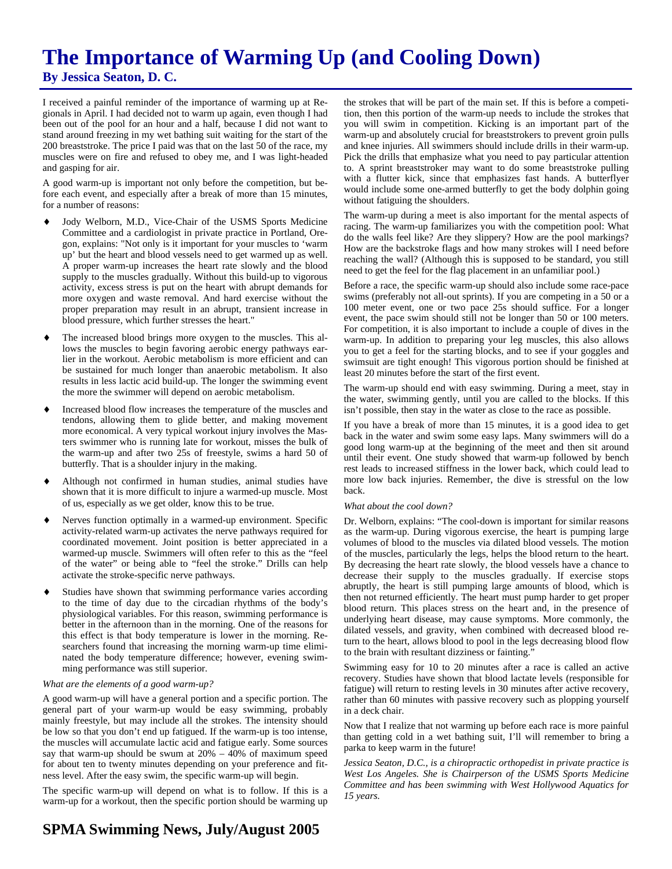## **The Importance of Warming Up (and Cooling Down) By Jessica Seaton, D. C.**

I received a painful reminder of the importance of warming up at Regionals in April. I had decided not to warm up again, even though I had been out of the pool for an hour and a half, because I did not want to stand around freezing in my wet bathing suit waiting for the start of the 200 breaststroke. The price I paid was that on the last 50 of the race, my muscles were on fire and refused to obey me, and I was light-headed and gasping for air.

A good warm-up is important not only before the competition, but before each event, and especially after a break of more than 15 minutes, for a number of reasons:

- Jody Welborn, M.D., Vice-Chair of the USMS Sports Medicine Committee and a cardiologist in private practice in Portland, Oregon, explains: "Not only is it important for your muscles to 'warm up' but the heart and blood vessels need to get warmed up as well. A proper warm-up increases the heart rate slowly and the blood supply to the muscles gradually. Without this build-up to vigorous activity, excess stress is put on the heart with abrupt demands for more oxygen and waste removal. And hard exercise without the proper preparation may result in an abrupt, transient increase in blood pressure, which further stresses the heart."
- The increased blood brings more oxygen to the muscles. This allows the muscles to begin favoring aerobic energy pathways earlier in the workout. Aerobic metabolism is more efficient and can be sustained for much longer than anaerobic metabolism. It also results in less lactic acid build-up. The longer the swimming event the more the swimmer will depend on aerobic metabolism.
- Increased blood flow increases the temperature of the muscles and tendons, allowing them to glide better, and making movement more economical. A very typical workout injury involves the Masters swimmer who is running late for workout, misses the bulk of the warm-up and after two 25s of freestyle, swims a hard 50 of butterfly. That is a shoulder injury in the making.
- Although not confirmed in human studies, animal studies have shown that it is more difficult to injure a warmed-up muscle. Most of us, especially as we get older, know this to be true.
- Nerves function optimally in a warmed-up environment. Specific activity-related warm-up activates the nerve pathways required for coordinated movement. Joint position is better appreciated in a warmed-up muscle. Swimmers will often refer to this as the "feel of the water" or being able to "feel the stroke." Drills can help activate the stroke-specific nerve pathways.
- Studies have shown that swimming performance varies according to the time of day due to the circadian rhythms of the body's physiological variables. For this reason, swimming performance is better in the afternoon than in the morning. One of the reasons for this effect is that body temperature is lower in the morning. Researchers found that increasing the morning warm-up time eliminated the body temperature difference; however, evening swimming performance was still superior.

#### *What are the elements of a good warm-up?*

A good warm-up will have a general portion and a specific portion. The general part of your warm-up would be easy swimming, probably mainly freestyle, but may include all the strokes. The intensity should be low so that you don't end up fatigued. If the warm-up is too intense, the muscles will accumulate lactic acid and fatigue early. Some sources say that warm-up should be swum at  $20\% - 40\%$  of maximum speed for about ten to twenty minutes depending on your preference and fitness level. After the easy swim, the specific warm-up will begin.

The specific warm-up will depend on what is to follow. If this is a warm-up for a workout, then the specific portion should be warming up the strokes that will be part of the main set. If this is before a competition, then this portion of the warm-up needs to include the strokes that you will swim in competition. Kicking is an important part of the warm-up and absolutely crucial for breaststrokers to prevent groin pulls and knee injuries. All swimmers should include drills in their warm-up. Pick the drills that emphasize what you need to pay particular attention to. A sprint breaststroker may want to do some breaststroke pulling with a flutter kick, since that emphasizes fast hands. A butterflyer would include some one-armed butterfly to get the body dolphin going without fatiguing the shoulders.

The warm-up during a meet is also important for the mental aspects of racing. The warm-up familiarizes you with the competition pool: What do the walls feel like? Are they slippery? How are the pool markings? How are the backstroke flags and how many strokes will I need before reaching the wall? (Although this is supposed to be standard, you still need to get the feel for the flag placement in an unfamiliar pool.)

Before a race, the specific warm-up should also include some race-pace swims (preferably not all-out sprints). If you are competing in a 50 or a 100 meter event, one or two pace 25s should suffice. For a longer event, the pace swim should still not be longer than 50 or 100 meters. For competition, it is also important to include a couple of dives in the warm-up. In addition to preparing your leg muscles, this also allows you to get a feel for the starting blocks, and to see if your goggles and swimsuit are tight enough! This vigorous portion should be finished at least 20 minutes before the start of the first event.

The warm-up should end with easy swimming. During a meet, stay in the water, swimming gently, until you are called to the blocks. If this isn't possible, then stay in the water as close to the race as possible.

If you have a break of more than 15 minutes, it is a good idea to get back in the water and swim some easy laps. Many swimmers will do a good long warm-up at the beginning of the meet and then sit around until their event. One study showed that warm-up followed by bench rest leads to increased stiffness in the lower back, which could lead to more low back injuries. Remember, the dive is stressful on the low back.

#### *What about the cool down?*

Dr. Welborn, explains: "The cool-down is important for similar reasons as the warm-up. During vigorous exercise, the heart is pumping large volumes of blood to the muscles via dilated blood vessels. The motion of the muscles, particularly the legs, helps the blood return to the heart. By decreasing the heart rate slowly, the blood vessels have a chance to decrease their supply to the muscles gradually. If exercise stops abruptly, the heart is still pumping large amounts of blood, which is then not returned efficiently. The heart must pump harder to get proper blood return. This places stress on the heart and, in the presence of underlying heart disease, may cause symptoms. More commonly, the dilated vessels, and gravity, when combined with decreased blood return to the heart, allows blood to pool in the legs decreasing blood flow to the brain with resultant dizziness or fainting."

Swimming easy for 10 to 20 minutes after a race is called an active recovery. Studies have shown that blood lactate levels (responsible for fatigue) will return to resting levels in 30 minutes after active recovery, rather than 60 minutes with passive recovery such as plopping yourself in a deck chair.

Now that I realize that not warming up before each race is more painful than getting cold in a wet bathing suit, I'll will remember to bring a parka to keep warm in the future!

*Jessica Seaton, D.C., is a chiropractic orthopedist in private practice is West Los Angeles. She is Chairperson of the USMS Sports Medicine Committee and has been swimming with West Hollywood Aquatics for 15 years.*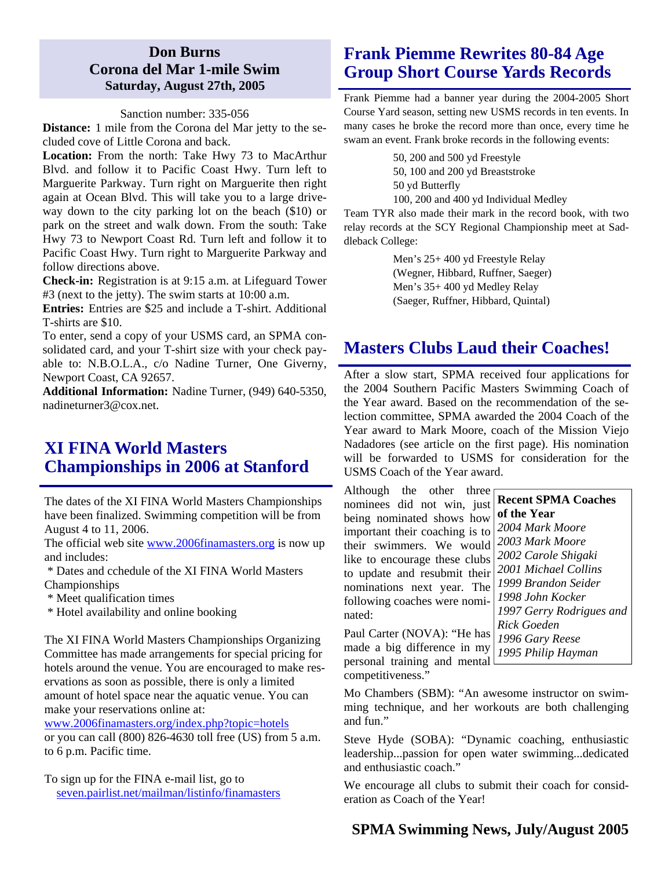#### **Don Burns Corona del Mar 1-mile Swim Saturday, August 27th, 2005**

#### Sanction number: 335-056

**Distance:** 1 mile from the Corona del Mar jetty to the secluded cove of Little Corona and back.

**Location:** From the north: Take Hwy 73 to MacArthur Blvd. and follow it to Pacific Coast Hwy. Turn left to Marguerite Parkway. Turn right on Marguerite then right again at Ocean Blvd. This will take you to a large driveway down to the city parking lot on the beach (\$10) or park on the street and walk down. From the south: Take Hwy 73 to Newport Coast Rd. Turn left and follow it to Pacific Coast Hwy. Turn right to Marguerite Parkway and follow directions above.

**Check-in:** Registration is at 9:15 a.m. at Lifeguard Tower #3 (next to the jetty). The swim starts at 10:00 a.m.

**Entries:** Entries are \$25 and include a T-shirt. Additional T-shirts are \$10.

To enter, send a copy of your USMS card, an SPMA consolidated card, and your T-shirt size with your check payable to: N.B.O.L.A., c/o Nadine Turner, One Giverny, Newport Coast, CA 92657.

**Additional Information:** Nadine Turner, (949) 640-5350, nadineturner3@cox.net.

### **XI FINA World Masters Championships in 2006 at Stanford**

The dates of the XI FINA World Masters Championships have been finalized. Swimming competition will be from August 4 to 11, 2006.

The official web site www.2006finamasters.org is now up and includes:

 \* Dates and cchedule of the XI FINA World Masters Championships

- \* Meet qualification times
- \* Hotel availability and online booking

The XI FINA World Masters Championships Organizing Committee has made arrangements for special pricing for hotels around the venue. You are encouraged to make reservations as soon as possible, there is only a limited amount of hotel space near the aquatic venue. You can make your reservations online at:

www.2006finamasters.org/index.php?topic=hotels

or you can call (800) 826-4630 toll free (US) from 5 a.m. to 6 p.m. Pacific time.

To sign up for the FINA e-mail list, go to seven.pairlist.net/mailman/listinfo/finamasters

## **Frank Piemme Rewrites 80-84 Age Group Short Course Yards Records**

Frank Piemme had a banner year during the 2004-2005 Short Course Yard season, setting new USMS records in ten events. In many cases he broke the record more than once, every time he swam an event. Frank broke records in the following events:

> 50, 200 and 500 yd Freestyle 50, 100 and 200 yd Breaststroke 50 yd Butterfly

100, 200 and 400 yd Individual Medley

Team TYR also made their mark in the record book, with two relay records at the SCY Regional Championship meet at Saddleback College:

> Men's 25+ 400 yd Freestyle Relay (Wegner, Hibbard, Ruffner, Saeger) Men's 35+ 400 yd Medley Relay (Saeger, Ruffner, Hibbard, Quintal)

## **Masters Clubs Laud their Coaches!**

After a slow start, SPMA received four applications for the 2004 Southern Pacific Masters Swimming Coach of the Year award. Based on the recommendation of the selection committee, SPMA awarded the 2004 Coach of the Year award to Mark Moore, coach of the Mission Viejo Nadadores (see article on the first page). His nomination will be forwarded to USMS for consideration for the USMS Coach of the Year award.

Although the other three nominees did not win, just being nominated shows how important their coaching is to their swimmers. We would like to encourage these clubs to update and resubmit their nominations next year. The following coaches were nominated:

**Recent SPMA Coaches of the Year**  *2004 Mark Moore 2003 Mark Moore 2002 Carole Shigaki 2001 Michael Collins 1999 Brandon Seider 1998 John Kocker 1997 Gerry Rodrigues and Rick Goeden 1996 Gary Reese 1995 Philip Hayman* 

Paul Carter (NOVA): "He has made a big difference in my personal training and mental competitiveness."

Mo Chambers (SBM): "An awesome instructor on swimming technique, and her workouts are both challenging and fun."

Steve Hyde (SOBA): "Dynamic coaching, enthusiastic leadership...passion for open water swimming...dedicated and enthusiastic coach."

We encourage all clubs to submit their coach for consideration as Coach of the Year!